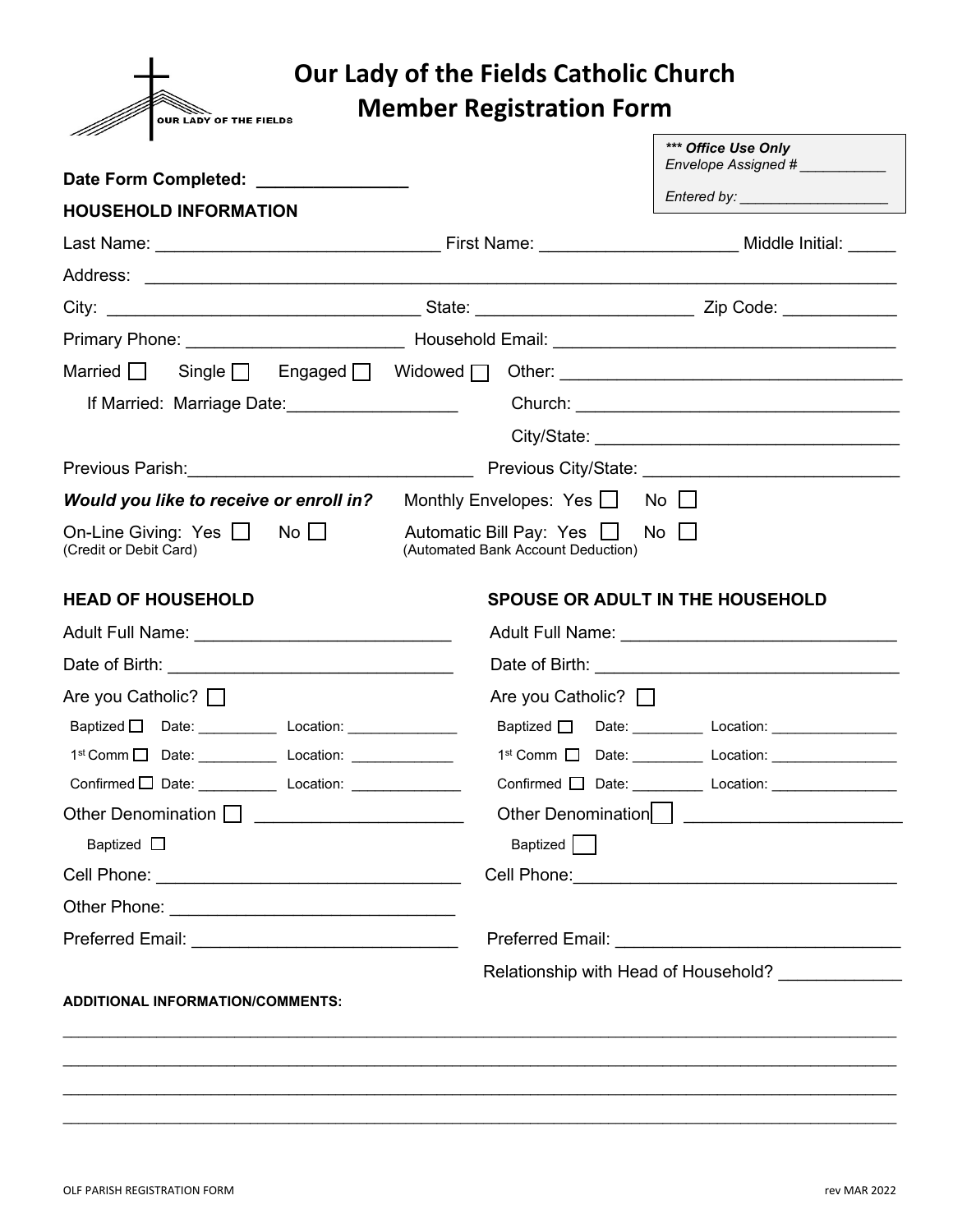

## **Our Lady of the Fields Catholic Church**

**Member Registration Form**

|                                                                      | *** Office Use Only<br>Envelope Assigned #                                                                                                                                                                                                                                                                                                                                                                                                                                                                                                                                                                                                                                                                                                                                                     |
|----------------------------------------------------------------------|------------------------------------------------------------------------------------------------------------------------------------------------------------------------------------------------------------------------------------------------------------------------------------------------------------------------------------------------------------------------------------------------------------------------------------------------------------------------------------------------------------------------------------------------------------------------------------------------------------------------------------------------------------------------------------------------------------------------------------------------------------------------------------------------|
|                                                                      |                                                                                                                                                                                                                                                                                                                                                                                                                                                                                                                                                                                                                                                                                                                                                                                                |
|                                                                      |                                                                                                                                                                                                                                                                                                                                                                                                                                                                                                                                                                                                                                                                                                                                                                                                |
|                                                                      |                                                                                                                                                                                                                                                                                                                                                                                                                                                                                                                                                                                                                                                                                                                                                                                                |
|                                                                      |                                                                                                                                                                                                                                                                                                                                                                                                                                                                                                                                                                                                                                                                                                                                                                                                |
|                                                                      |                                                                                                                                                                                                                                                                                                                                                                                                                                                                                                                                                                                                                                                                                                                                                                                                |
|                                                                      |                                                                                                                                                                                                                                                                                                                                                                                                                                                                                                                                                                                                                                                                                                                                                                                                |
|                                                                      | Married Single Single Engaged Widowed Octher: __________________________________                                                                                                                                                                                                                                                                                                                                                                                                                                                                                                                                                                                                                                                                                                               |
|                                                                      |                                                                                                                                                                                                                                                                                                                                                                                                                                                                                                                                                                                                                                                                                                                                                                                                |
|                                                                      |                                                                                                                                                                                                                                                                                                                                                                                                                                                                                                                                                                                                                                                                                                                                                                                                |
|                                                                      |                                                                                                                                                                                                                                                                                                                                                                                                                                                                                                                                                                                                                                                                                                                                                                                                |
| Monthly Envelopes: Yes $\Box$ No $\Box$                              |                                                                                                                                                                                                                                                                                                                                                                                                                                                                                                                                                                                                                                                                                                                                                                                                |
| Automatic Bill Pay: Yes $\Box$<br>(Automated Bank Account Deduction) | $No \Box$                                                                                                                                                                                                                                                                                                                                                                                                                                                                                                                                                                                                                                                                                                                                                                                      |
|                                                                      | <b>SPOUSE OR ADULT IN THE HOUSEHOLD</b>                                                                                                                                                                                                                                                                                                                                                                                                                                                                                                                                                                                                                                                                                                                                                        |
|                                                                      |                                                                                                                                                                                                                                                                                                                                                                                                                                                                                                                                                                                                                                                                                                                                                                                                |
|                                                                      |                                                                                                                                                                                                                                                                                                                                                                                                                                                                                                                                                                                                                                                                                                                                                                                                |
|                                                                      | Are you Catholic? $\Box$                                                                                                                                                                                                                                                                                                                                                                                                                                                                                                                                                                                                                                                                                                                                                                       |
|                                                                      | Baptized D Date: Location: Location:                                                                                                                                                                                                                                                                                                                                                                                                                                                                                                                                                                                                                                                                                                                                                           |
|                                                                      | 1st Comm   Date: __________ Location: _________________                                                                                                                                                                                                                                                                                                                                                                                                                                                                                                                                                                                                                                                                                                                                        |
|                                                                      | Confirmed D Date: __________ Location: ________________                                                                                                                                                                                                                                                                                                                                                                                                                                                                                                                                                                                                                                                                                                                                        |
|                                                                      |                                                                                                                                                                                                                                                                                                                                                                                                                                                                                                                                                                                                                                                                                                                                                                                                |
|                                                                      |                                                                                                                                                                                                                                                                                                                                                                                                                                                                                                                                                                                                                                                                                                                                                                                                |
|                                                                      |                                                                                                                                                                                                                                                                                                                                                                                                                                                                                                                                                                                                                                                                                                                                                                                                |
|                                                                      |                                                                                                                                                                                                                                                                                                                                                                                                                                                                                                                                                                                                                                                                                                                                                                                                |
|                                                                      |                                                                                                                                                                                                                                                                                                                                                                                                                                                                                                                                                                                                                                                                                                                                                                                                |
|                                                                      | Relationship with Head of Household? _____________                                                                                                                                                                                                                                                                                                                                                                                                                                                                                                                                                                                                                                                                                                                                             |
|                                                                      |                                                                                                                                                                                                                                                                                                                                                                                                                                                                                                                                                                                                                                                                                                                                                                                                |
|                                                                      |                                                                                                                                                                                                                                                                                                                                                                                                                                                                                                                                                                                                                                                                                                                                                                                                |
|                                                                      |                                                                                                                                                                                                                                                                                                                                                                                                                                                                                                                                                                                                                                                                                                                                                                                                |
|                                                                      |                                                                                                                                                                                                                                                                                                                                                                                                                                                                                                                                                                                                                                                                                                                                                                                                |
|                                                                      | Date Form Completed: ________________<br>If Married: Marriage Date:<br>Previous Parish: Note and the Contract of the Contract of the Contract of the Contract of the Contract of the Contract of the Contract of the Contract of the Contract of the Contract of the Contract of the Contract of the<br>Would you like to receive or enroll in?<br>1 <sup>st</sup> Comm □ Date: ____________ Location: _____________<br>Confirmed D Date: _______________ Location: ________________<br>Other Denomination   <b>Conservation</b>   <b>Conservation</b>   <b>Conservation</b>   <b>Conservation</b>   <b>Conservation</b>   <b>Conservation</b>   <b>Conservation</b>   <b>Conservation</b>   <b>Conservation</b>   <b>Conservation</b>   <b>Conservation</b>   <b>Conservation</b><br>Baptized |